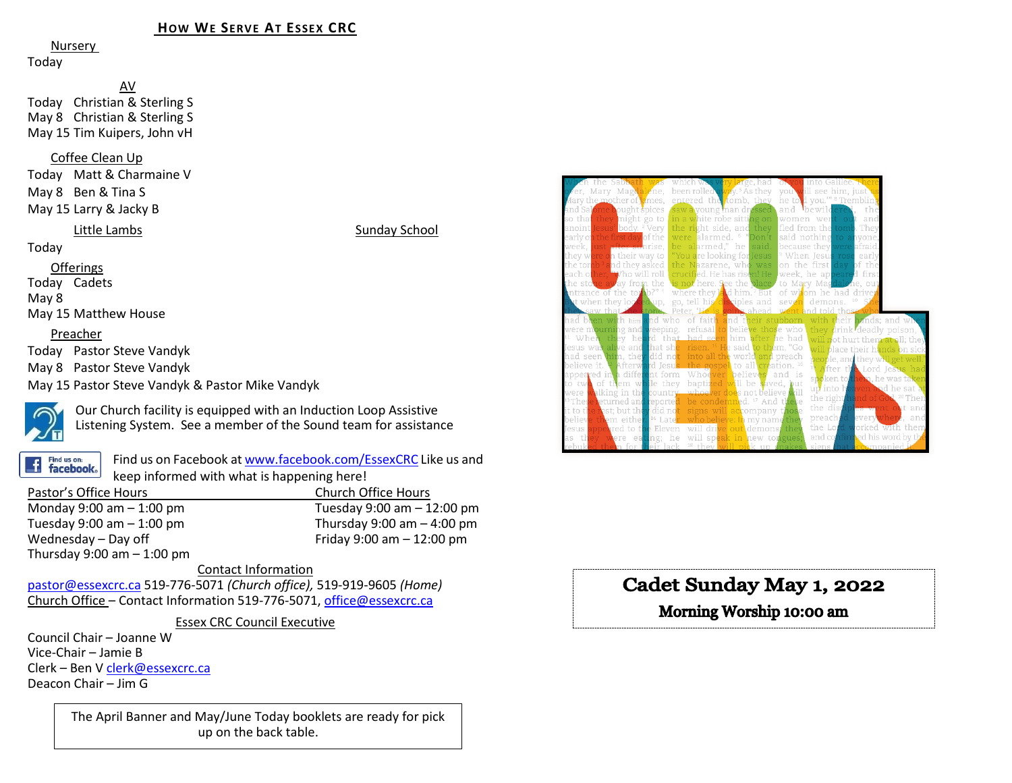### **HOW WE SERVE AT ESSEX CRC**

Nursery

Today

AV Today Christian & Sterling S May 8 Christian & Sterling S May 15 Tim Kuipers, John vH

#### Coffee Clean Up

Today Matt & Charmaine V May 8 Ben & Tina S May 15 Larry & Jacky B

#### Little Lambs Sunday School

Today

Offerings Today Cadets May 8

May 15 Matthew House

#### Preacher

Today Pastor Steve Vandyk

May 8 Pastor Steve Vandyk

May 15 Pastor Steve Vandyk & Pastor Mike Vandyk



Our Church facility is equipped with an Induction Loop Assistive Listening System. See a member of the Sound team for assistance



Find us on Facebook a[t www.facebook.com/EssexCRC](http://www.facebook.com/EssexCRC) Like us and keep informed with what is happening here!

| Pastor's Office Hours        | Church Office Hours            |
|------------------------------|--------------------------------|
| Monday 9:00 am $-$ 1:00 pm   | Tuesday $9:00$ am $-12:00$ pm  |
| Tuesday 9:00 am $-$ 1:00 pm  | Thursday $9:00$ am $-$ 4:00 pm |
| Wednesday - Day off          | Friday 9:00 am $- 12:00$ pm    |
| Thursday 9:00 am $-$ 1:00 pm |                                |

#### Contact Information

[pastor@essexcrc.ca](mailto:pastor@essexcrc.ca) 519-776-5071 *(Church office),* 519-919-9605 *(Home)* Church Office – Contact Information 519-776-5071[, office@essexcrc.ca](mailto:office@essexcrc.ca)

Essex CRC Council Executive

Council Chair – Joanne W Vice-Chair – Jamie B Clerk – Ben V [clerk@essexcrc.ca](mailto:clerk@essexcrc.ca) Deacon Chair – Jim G

> The April Banner and May/June Today booklets are ready for pick up on the back table.



# Cadet Sunday May 1, 2022

# Morning Worship 10:00 am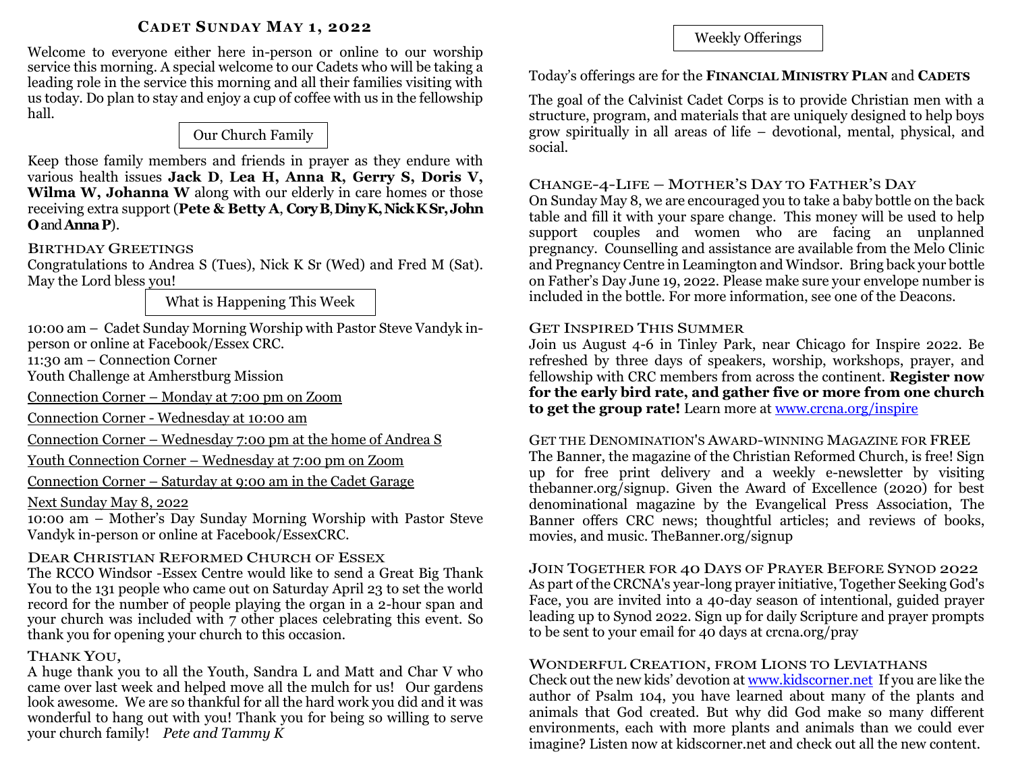### **CADET SUNDAY MAY 1, 2022**

Welcome to everyone either here in-person or online to our worship service this morning. A special welcome to our Cadets who will be taking a leading role in the service this morning and all their families visiting with us today. Do plan to stay and enjoy a cup of coffee with us in the fellowship hall.

# Our Church Family

Keep those family members and friends in prayer as they endure with various health issues **Jack D**, **Lea H, Anna R, Gerry S, Doris V, Wilma W, Johanna W** along with our elderly in care homes or those receiving extra support (**Pete & Betty A**, **CoryB**, **DinyK, Nick KSr,John O**and **AnnaP**).

### BIRTHDAY GREETINGS

Congratulations to Andrea S (Tues), Nick K Sr (Wed) and Fred M (Sat). May the Lord bless you!

What is Happening This Week

10:00 am – Cadet Sunday Morning Worship with Pastor Steve Vandyk inperson or online at Facebook/Essex CRC.

11:30 am – Connection Corner

Youth Challenge at Amherstburg Mission

Connection Corner – Monday at 7:00 pm on Zoom

Connection Corner - Wednesday at 10:00 am

Connection Corner – Wednesday 7:00 pm at the home of Andrea S

Youth Connection Corner – Wednesday at 7:00 pm on Zoom

Connection Corner – Saturday at 9:00 am in the Cadet Garage

### Next Sunday May 8, 2022

10:00 am – Mother's Day Sunday Morning Worship with Pastor Steve Vandyk in-person or online at Facebook/EssexCRC.

# DEAR CHRISTIAN REFORMED CHURCH OF ESSEX

The RCCO Windsor -Essex Centre would like to send a Great Big Thank You to the 131 people who came out on Saturday April 23 to set the world record for the number of people playing the organ in a 2-hour span and your church was included with 7 other places celebrating this event. So thank you for opening your church to this occasion.

# THANK YOU,

A huge thank you to all the Youth, Sandra L and Matt and Char V who came over last week and helped move all the mulch for us! Our gardens look awesome. We are so thankful for all the hard work you did and it was wonderful to hang out with you! Thank you for being so willing to serve your church family! *Pete and Tammy K*

Weekly Offerings

### Today's offerings are for the **FINANCIAL MINISTRY PLAN** and **CADETS**

The goal of the Calvinist Cadet Corps is to provide Christian men with a structure, program, and materials that are uniquely designed to help boys grow spiritually in all areas of life – devotional, mental, physical, and social.

# CHANGE-4-LIFE – MOTHER'S DAY TO FATHER'S DAY

On Sunday May 8, we are encouraged you to take a baby bottle on the back table and fill it with your spare change. This money will be used to help support couples and women who are facing an unplanned pregnancy. Counselling and assistance are available from the Melo Clinic and Pregnancy Centre in Leamington and Windsor. Bring back your bottle on Father's Day June 19, 2022. Please make sure your envelope number is included in the bottle. For more information, see one of the Deacons.

# GET INSPIRED THIS SUMMER

Join us August 4-6 in Tinley Park, near Chicago for Inspire 2022. Be refreshed by three days of speakers, worship, workshops, prayer, and fellowship with CRC members from across the continent. **Register now for the early bird rate, and gather five or more from one church to get the group rate!** Learn more at [www.crcna.org/inspire](http://www.crcna.org/inspire)

# GET THE DENOMINATION'S AWARD-WINNING MAGAZINE FOR FREE

The Banner, the magazine of the Christian Reformed Church, is free! Sign up for free print delivery and a weekly e-newsletter by visiting thebanner.org/signup. Given the Award of Excellence (2020) for best denominational magazine by the Evangelical Press Association, The Banner offers CRC news; thoughtful articles; and reviews of books, movies, and music. TheBanner.org/signup

### JOIN TOGETHER FOR 40 DAYS OF PRAYER BEFORE SYNOD 2022 As part of the CRCNA's year-long prayer initiative, Together Seeking God's Face, you are invited into a 40-day season of intentional, guided prayer leading up to Synod 2022. Sign up for daily Scripture and prayer prompts to be sent to your email for 40 days at crcna.org/pray

# WONDERFUL CREATION, FROM LIONS TO LEVIATHANS

Check out the new kids' devotion at [www.kidscorner.net](http://www.kidscorner.net/) If you are like the author of Psalm 104, you have learned about many of the plants and animals that God created. But why did God make so many different environments, each with more plants and animals than we could ever imagine? Listen now at kidscorner.net and check out all the new content.